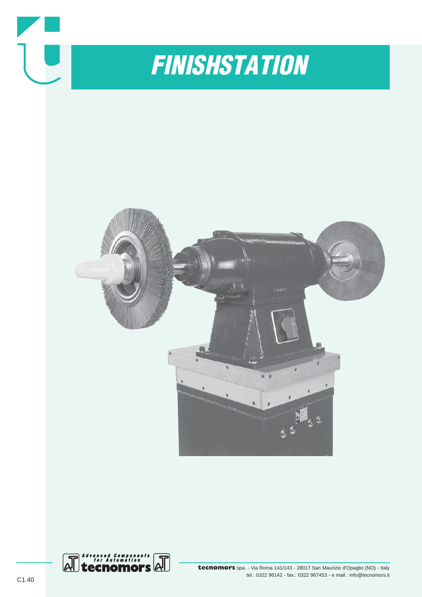

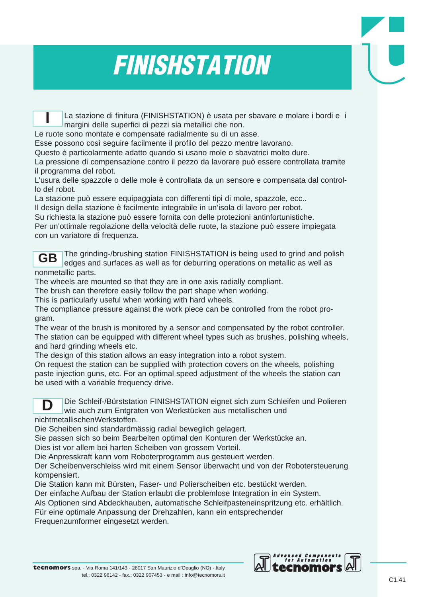## *FINISHSTATION*

La stazione di finitura (FINISHSTATION) è usata per sbavare e molare i bordi e i margini delle superfici di pezzi sia metallici che non. **I**

Le ruote sono montate e compensate radialmente su di un asse.

Esse possono così seguire facilmente il profilo del pezzo mentre lavorano.

Questo è particolarmente adatto quando si usano mole o sbavatrici molto dure.

La pressione di compensazione contro il pezzo da lavorare può essere controllata tramite il programma del robot.

L'usura delle spazzole o delle mole è controllata da un sensore e compensata dal controllo del robot.

La stazione può essere equipaggiata con differenti tipi di mole, spazzole, ecc..

Il design della stazione è facilmente integrabile in un'isola di lavoro per robot.

Su richiesta la stazione può essere fornita con delle protezioni antinfortunistiche.

Per un'ottimale regolazione della velocità delle ruote, la stazione può essere impiegata con un variatore di frequenza.

The grinding-/brushing station FINISHSTATION is being used to grind and polish edges and surfaces as well as for deburring operations on metallic as well as nonmetallic parts. **GB**

The wheels are mounted so that they are in one axis radially compliant.

The brush can therefore easily follow the part shape when working.

This is particularly useful when working with hard wheels.

The compliance pressure against the work piece can be controlled from the robot program.

The wear of the brush is monitored by a sensor and compensated by the robot controller. The station can be equipped with different wheel types such as brushes, polishing wheels, and hard grinding wheels etc.

The design of this station allows an easy integration into a robot system.

On request the station can be supplied with protection covers on the wheels, polishing paste injection guns, etc. For an optimal speed adjustment of the wheels the station can be used with a variable frequency drive.



Die Schleif-/Bürststation FINISHSTATION eignet sich zum Schleifen und Polieren wie auch zum Entgraten von Werkstücken aus metallischen und

nichtmetallischenWerkstoffen.

Die Scheiben sind standardmässig radial beweglich gelagert.

Sie passen sich so beim Bearbeiten optimal den Konturen der Werkstücke an.

Dies ist vor allem bei harten Scheiben von grossem Vorteil.

Die Anpresskraft kann vom Roboterprogramm aus gesteuert werden.

Der Scheibenverschleiss wird mit einem Sensor überwacht und von der Robotersteuerung kompensiert.

Die Station kann mit Bürsten, Faser- und Polierscheiben etc. bestückt werden.

Der einfache Aufbau der Station erlaubt die problemlose Integration in ein System.

Als Optionen sind Abdeckhauben, automatische Schleifpasteneinspritzung etc. erhältlich.

Für eine optimale Anpassung der Drehzahlen, kann ein entsprechender

Frequenzumformer eingesetzt werden.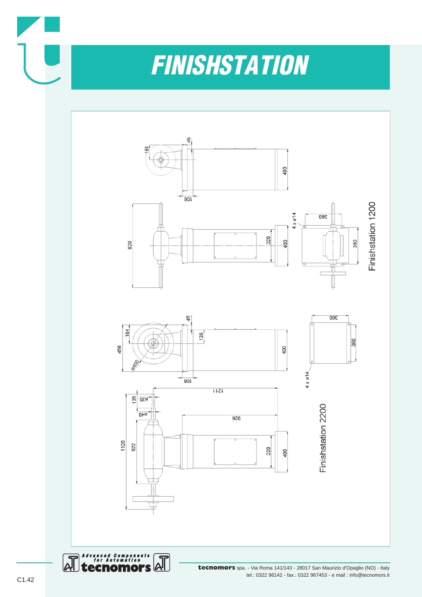

## *FINISHSTATION*



tel.: 0322 96142 - fax.: 0322 967453 - e mail : info@tecnomors.it